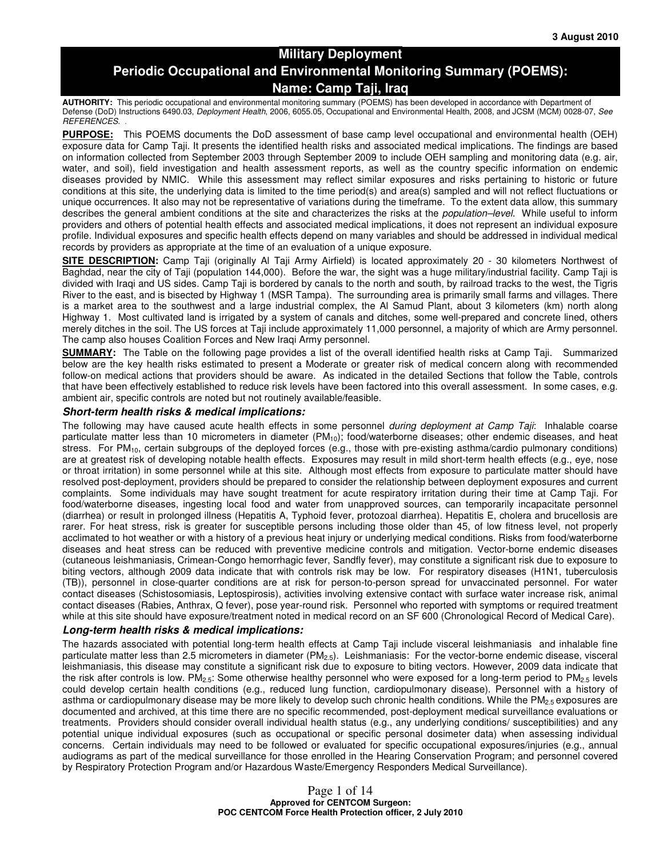## **Military Deployment Periodic Occupational and Environmental Monitoring Summary (POEMS): Name: Camp Taji, Iraq**

**AUTHORITY:** This periodic occupational and environmental monitoring summary (POEMS) has been developed in accordance with Department of Defense (DoD) Instructions 6490.03, Deployment Health, 2006, 6055.05, Occupational and Environmental Health, 2008, and JCSM (MCM) 0028-07, See REFERENCES. .

**PURPOSE:** This POEMS documents the DoD assessment of base camp level occupational and environmental health (OEH) exposure data for Camp Taji. It presents the identified health risks and associated medical implications. The findings are based on information collected from September 2003 through September 2009 to include OEH sampling and monitoring data (e.g. air, water, and soil), field investigation and health assessment reports, as well as the country specific information on endemic diseases provided by NMIC. While this assessment may reflect similar exposures and risks pertaining to historic or future conditions at this site, the underlying data is limited to the time period(s) and area(s) sampled and will not reflect fluctuations or unique occurrences. It also may not be representative of variations during the timeframe. To the extent data allow, this summary describes the general ambient conditions at the site and characterizes the risks at the *population–level*. While useful to inform providers and others of potential health effects and associated medical implications, it does not represent an individual exposure profile. Individual exposures and specific health effects depend on many variables and should be addressed in individual medical records by providers as appropriate at the time of an evaluation of a unique exposure.

**SITE DESCRIPTION:** Camp Taji (originally Al Taji Army Airfield) is located approximately 20 - 30 kilometers Northwest of Baghdad, near the city of Taji (population 144,000). Before the war, the sight was a huge military/industrial facility. Camp Taji is divided with Iraqi and US sides. Camp Taji is bordered by canals to the north and south, by railroad tracks to the west, the Tigris River to the east, and is bisected by Highway 1 (MSR Tampa). The surrounding area is primarily small farms and villages. There is a market area to the southwest and a large industrial complex, the Al Samud Plant, about 3 kilometers (km) north along Highway 1. Most cultivated land is irrigated by a system of canals and ditches, some well-prepared and concrete lined, others merely ditches in the soil. The US forces at Taji include approximately 11,000 personnel, a majority of which are Army personnel. The camp also houses Coalition Forces and New Iraqi Army personnel.

**SUMMARY:** The Table on the following page provides a list of the overall identified health risks at Camp Taji. Summarized below are the key health risks estimated to present a Moderate or greater risk of medical concern along with recommended follow-on medical actions that providers should be aware. As indicated in the detailed Sections that follow the Table, controls that have been effectively established to reduce risk levels have been factored into this overall assessment. In some cases, e.g. ambient air, specific controls are noted but not routinely available/feasible.

#### **Short-term health risks & medical implications:**

The following may have caused acute health effects in some personnel during deployment at Camp Taji: Inhalable coarse particulate matter less than 10 micrometers in diameter (PM<sub>10</sub>); food/waterborne diseases; other endemic diseases, and heat stress. For  $PM_{10}$ , certain subgroups of the deployed forces (e.g., those with pre-existing asthma/cardio pulmonary conditions) are at greatest risk of developing notable health effects. Exposures may result in mild short-term health effects (e.g., eye, nose or throat irritation) in some personnel while at this site. Although most effects from exposure to particulate matter should have resolved post-deployment, providers should be prepared to consider the relationship between deployment exposures and current complaints. Some individuals may have sought treatment for acute respiratory irritation during their time at Camp Taji. For food/waterborne diseases, ingesting local food and water from unapproved sources, can temporarily incapacitate personnel (diarrhea) or result in prolonged illness (Hepatitis A, Typhoid fever, protozoal diarrhea). Hepatitis E, cholera and brucellosis are rarer. For heat stress, risk is greater for susceptible persons including those older than 45, of low fitness level, not properly acclimated to hot weather or with a history of a previous heat injury or underlying medical conditions. Risks from food/waterborne diseases and heat stress can be reduced with preventive medicine controls and mitigation. Vector-borne endemic diseases (cutaneous leishmaniasis, Crimean-Congo hemorrhagic fever, Sandfly fever), may constitute a significant risk due to exposure to biting vectors, although 2009 data indicate that with controls risk may be low. For respiratory diseases (H1N1, tuberculosis (TB)), personnel in close-quarter conditions are at risk for person-to-person spread for unvaccinated personnel. For water contact diseases (Schistosomiasis, Leptospirosis), activities involving extensive contact with surface water increase risk, animal contact diseases (Rabies, Anthrax, Q fever), pose year-round risk. Personnel who reported with symptoms or required treatment while at this site should have exposure/treatment noted in medical record on an SF 600 (Chronological Record of Medical Care).

#### **Long-term health risks & medical implications:**

The hazards associated with potential long-term health effects at Camp Taji include visceral leishmaniasis and inhalable fine particulate matter less than 2.5 micrometers in diameter (PM<sub>2.5</sub>). Leishmaniasis: For the vector-borne endemic disease, visceral leishmaniasis, this disease may constitute a significant risk due to exposure to biting vectors. However, 2009 data indicate that the risk after controls is low. PM<sub>2.5</sub>: Some otherwise healthy personnel who were exposed for a long-term period to PM<sub>2.5</sub> levels could develop certain health conditions (e.g., reduced lung function, cardiopulmonary disease). Personnel with a history of asthma or cardiopulmonary disease may be more likely to develop such chronic health conditions. While the  $PM_{2.5}$  exposures are documented and archived, at this time there are no specific recommended, post-deployment medical surveillance evaluations or treatments. Providers should consider overall individual health status (e.g., any underlying conditions/ susceptibilities) and any potential unique individual exposures (such as occupational or specific personal dosimeter data) when assessing individual concerns. Certain individuals may need to be followed or evaluated for specific occupational exposures/injuries (e.g., annual audiograms as part of the medical surveillance for those enrolled in the Hearing Conservation Program; and personnel covered by Respiratory Protection Program and/or Hazardous Waste/Emergency Responders Medical Surveillance).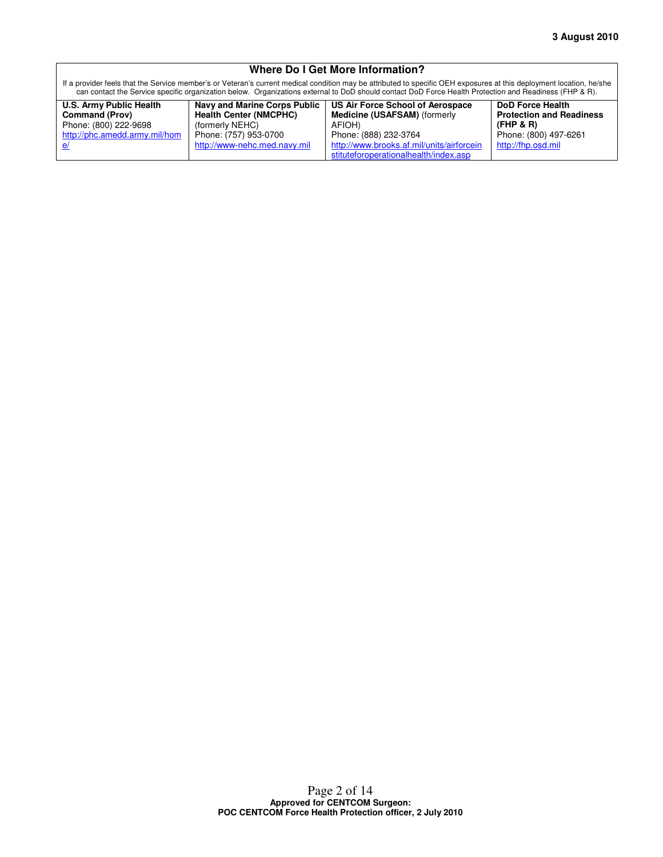#### **Where Do I Get More Information?**

If a provider feels that the Service member's or Veteran's current medical condition may be attributed to specific OEH exposures at this deployment location, he/she can contact the Service specific organization below. Organizations external to DoD should contact DoD Force Health Protection and Readiness (FHP & R).

| U.S. Army Public Health       | <b>Navy and Marine Corps Public</b> | US Air Force School of Aerospace          | <b>DoD Force Health</b>         |
|-------------------------------|-------------------------------------|-------------------------------------------|---------------------------------|
| <b>Command (Prov)</b>         | <b>Health Center (NMCPHC)</b>       | <b>Medicine (USAFSAM)</b> (formerly       | <b>Protection and Readiness</b> |
| Phone: (800) 222-9698         | (formerly NEHC)                     | AFIOH)                                    | (FHP & R)                       |
| http://phc.amedd.army.mil/hom | Phone: (757) 953-0700               | Phone: (888) 232-3764                     | Phone: (800) 497-6261           |
|                               | http://www-nehc.med.navy.mil        | http://www.brooks.af.mil/units/airforcein | http://fhp.osd.mil              |
|                               |                                     | stituteforoperationalhealth/index.asp     |                                 |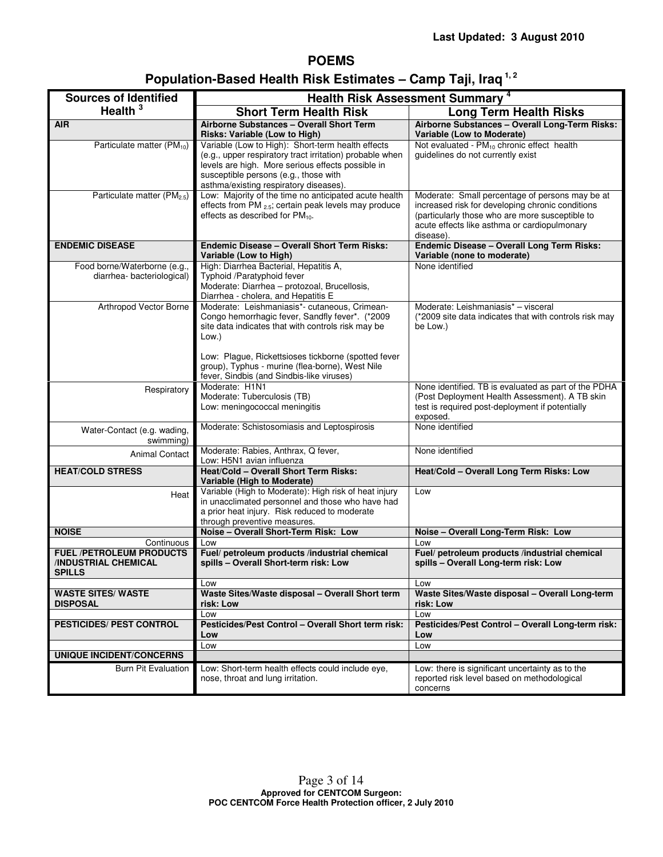## **POEMS**

| <b>Sources of Identified</b>                                                                 | <b>Health Risk Assessment Summary 4</b>                                                                                                                                                                                                               |                                                                                                                                                                                                                     |  |  |  |
|----------------------------------------------------------------------------------------------|-------------------------------------------------------------------------------------------------------------------------------------------------------------------------------------------------------------------------------------------------------|---------------------------------------------------------------------------------------------------------------------------------------------------------------------------------------------------------------------|--|--|--|
| Health $3$                                                                                   | <b>Short Term Health Risk</b><br><b>Long Term Health Risks</b>                                                                                                                                                                                        |                                                                                                                                                                                                                     |  |  |  |
| <b>AIR</b>                                                                                   | Airborne Substances - Overall Short Term<br>Risks: Variable (Low to High)                                                                                                                                                                             | Airborne Substances - Overall Long-Term Risks:<br>Variable (Low to Moderate)                                                                                                                                        |  |  |  |
| Particulate matter (PM <sub>10</sub> )                                                       | Variable (Low to High): Short-term health effects<br>(e.g., upper respiratory tract irritation) probable when<br>levels are high. More serious effects possible in<br>susceptible persons (e.g., those with<br>asthma/existing respiratory diseases). | Not evaluated - PM <sub>10</sub> chronic effect health<br>guidelines do not currently exist                                                                                                                         |  |  |  |
| Particulate matter (PM <sub>2.5</sub> )                                                      | Low: Majority of the time no anticipated acute health<br>effects from PM 2.5; certain peak levels may produce<br>effects as described for PM <sub>10</sub> .                                                                                          | Moderate: Small percentage of persons may be at<br>increased risk for developing chronic conditions<br>(particularly those who are more susceptible to<br>acute effects like asthma or cardiopulmonary<br>disease). |  |  |  |
| <b>ENDEMIC DISEASE</b>                                                                       | <b>Endemic Disease - Overall Short Term Risks:</b><br>Variable (Low to High)                                                                                                                                                                          | <b>Endemic Disease - Overall Long Term Risks:</b><br>Variable (none to moderate)                                                                                                                                    |  |  |  |
| Food borne/Waterborne (e.g.,<br>diarrhea-bacteriological)                                    | High: Diarrhea Bacterial, Hepatitis A,<br>Typhoid /Paratyphoid fever<br>Moderate: Diarrhea - protozoal, Brucellosis,<br>Diarrhea - cholera, and Hepatitis E                                                                                           | None identified                                                                                                                                                                                                     |  |  |  |
| Arthropod Vector Borne                                                                       | Moderate: Leishmaniasis*- cutaneous, Crimean-<br>Congo hemorrhagic fever, Sandfly fever*. (*2009<br>site data indicates that with controls risk may be<br>Low.)                                                                                       | Moderate: Leishmaniasis* - visceral<br>(*2009 site data indicates that with controls risk may<br>be Low.)                                                                                                           |  |  |  |
|                                                                                              | Low: Plaque, Rickettsioses tickborne (spotted fever<br>group), Typhus - murine (flea-borne), West Nile<br>fever, Sindbis (and Sindbis-like viruses)                                                                                                   |                                                                                                                                                                                                                     |  |  |  |
| Respiratory                                                                                  | Moderate: H1N1<br>Moderate: Tuberculosis (TB)<br>Low: meningococcal meningitis                                                                                                                                                                        | None identified. TB is evaluated as part of the PDHA<br>(Post Deployment Health Assessment). A TB skin<br>test is required post-deployment if potentially<br>exposed.                                               |  |  |  |
| Water-Contact (e.g. wading,<br>swimming)                                                     | Moderate: Schistosomiasis and Leptospirosis                                                                                                                                                                                                           | None identified                                                                                                                                                                                                     |  |  |  |
| <b>Animal Contact</b>                                                                        | Moderate: Rabies, Anthrax, Q fever,<br>Low: H5N1 avian influenza                                                                                                                                                                                      | None identified                                                                                                                                                                                                     |  |  |  |
| <b>HEAT/COLD STRESS</b>                                                                      | <b>Heat/Cold - Overall Short Term Risks:</b><br>Variable (High to Moderate)                                                                                                                                                                           | Heat/Cold - Overall Long Term Risks: Low                                                                                                                                                                            |  |  |  |
| Heat                                                                                         | Variable (High to Moderate): High risk of heat injury<br>in unacclimated personnel and those who have had<br>a prior heat injury. Risk reduced to moderate<br>through preventive measures.                                                            | Low                                                                                                                                                                                                                 |  |  |  |
| <b>NOISE</b>                                                                                 | Noise - Overall Short-Term Risk: Low                                                                                                                                                                                                                  | Noise - Overall Long-Term Risk: Low                                                                                                                                                                                 |  |  |  |
| Continuous<br><b>FUEL /PETROLEUM PRODUCTS</b><br><b>INDUSTRIAL CHEMICAL</b><br><b>SPILLS</b> | Low<br>Fuel/ petroleum products /industrial chemical<br>spills - Overall Short-term risk: Low                                                                                                                                                         | Low<br>Fuel/ petroleum products /industrial chemical<br>spills - Overall Long-term risk: Low                                                                                                                        |  |  |  |
|                                                                                              | Low                                                                                                                                                                                                                                                   | Low                                                                                                                                                                                                                 |  |  |  |
| <b>WASTE SITES/ WASTE</b><br><b>DISPOSAL</b>                                                 | Waste Sites/Waste disposal - Overall Short term<br>risk: Low                                                                                                                                                                                          | Waste Sites/Waste disposal - Overall Long-term<br>risk: Low                                                                                                                                                         |  |  |  |
|                                                                                              | Low<br>Pesticides/Pest Control - Overall Short term risk:                                                                                                                                                                                             | Low                                                                                                                                                                                                                 |  |  |  |
| <b>PESTICIDES/ PEST CONTROL</b>                                                              | Low<br>Low                                                                                                                                                                                                                                            | Pesticides/Pest Control - Overall Long-term risk:<br>Low                                                                                                                                                            |  |  |  |
| <b>UNIQUE INCIDENT/CONCERNS</b>                                                              |                                                                                                                                                                                                                                                       | Low                                                                                                                                                                                                                 |  |  |  |
| <b>Burn Pit Evaluation</b>                                                                   | Low: Short-term health effects could include eye,<br>nose, throat and lung irritation.                                                                                                                                                                | Low: there is significant uncertainty as to the<br>reported risk level based on methodological<br>concerns                                                                                                          |  |  |  |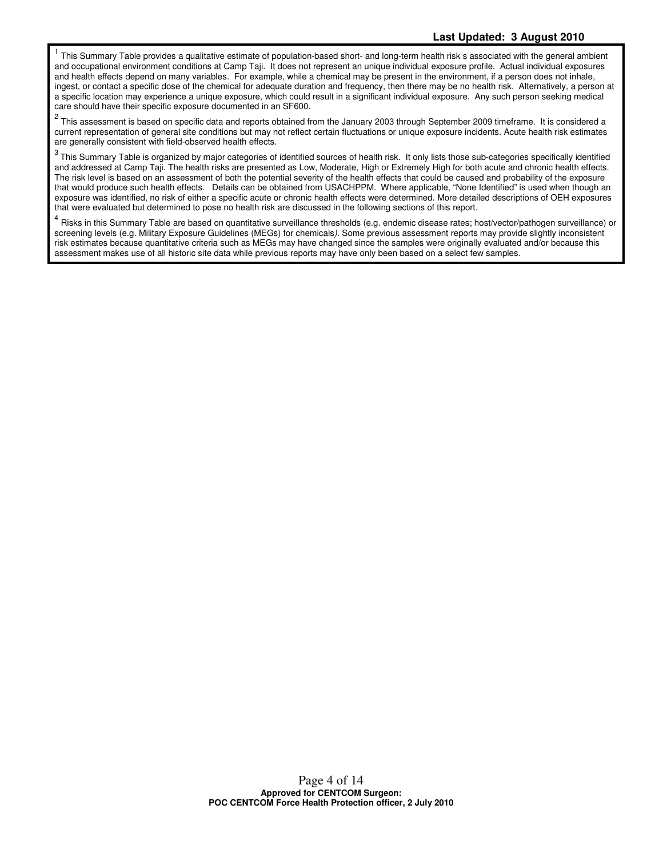1 This Summary Table provides a qualitative estimate of population-based short- and long-term health risk s associated with the general ambient and occupational environment conditions at Camp Taji. It does not represent an unique individual exposure profile. Actual individual exposures and health effects depend on many variables. For example, while a chemical may be present in the environment, if a person does not inhale, ingest, or contact a specific dose of the chemical for adequate duration and frequency, then there may be no health risk. Alternatively, a person at a specific location may experience a unique exposure, which could result in a significant individual exposure. Any such person seeking medical care should have their specific exposure documented in an SF600.

 $^2$  This assessment is based on specific data and reports obtained from the January 2003 through September 2009 timeframe. It is considered a current representation of general site conditions but may not reflect certain fluctuations or unique exposure incidents. Acute health risk estimates are generally consistent with field-observed health effects.

 $3$  This Summary Table is organized by major categories of identified sources of health risk. It only lists those sub-categories specifically identified and addressed at Camp Taji. The health risks are presented as Low, Moderate, High or Extremely High for both acute and chronic health effects. The risk level is based on an assessment of both the potential severity of the health effects that could be caused and probability of the exposure that would produce such health effects. Details can be obtained from USACHPPM. Where applicable, "None Identified" is used when though an exposure was identified, no risk of either a specific acute or chronic health effects were determined. More detailed descriptions of OEH exposures that were evaluated but determined to pose no health risk are discussed in the following sections of this report.

<sup>4</sup> Risks in this Summary Table are based on quantitative surveillance thresholds (e.g. endemic disease rates; host/vector/pathogen surveillance) or screening levels (e.g. Military Exposure Guidelines (MEGs) for chemicals). Some previous assessment reports may provide slightly inconsistent risk estimates because quantitative criteria such as MEGs may have changed since the samples were originally evaluated and/or because this assessment makes use of all historic site data while previous reports may have only been based on a select few samples.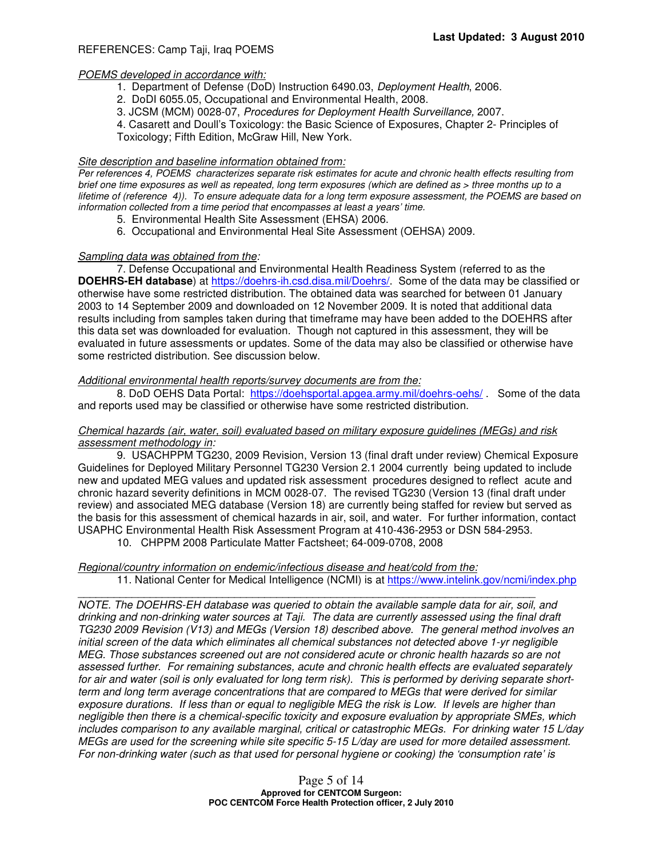## REFERENCES: Camp Taji, Iraq POEMS

### POEMS developed in accordance with:

- 1. Department of Defense (DoD) Instruction 6490.03, Deployment Health, 2006.
- 2. DoDI 6055.05, Occupational and Environmental Health, 2008.
- 3. JCSM (MCM) 0028-07, Procedures for Deployment Health Surveillance, 2007.
- 4. Casarett and Doull's Toxicology: the Basic Science of Exposures, Chapter 2- Principles of

Toxicology; Fifth Edition, McGraw Hill, New York.

## Site description and baseline information obtained from:

Per references 4, POEMS characterizes separate risk estimates for acute and chronic health effects resulting from brief one time exposures as well as repeated, long term exposures (which are defined as > three months up to a lifetime of (reference 4)). To ensure adequate data for a long term exposure assessment, the POEMS are based on information collected from a time period that encompasses at least a years' time.

- 5. Environmental Health Site Assessment (EHSA) 2006.
- 6. Occupational and Environmental Heal Site Assessment (OEHSA) 2009.

### Sampling data was obtained from the:

7. Defense Occupational and Environmental Health Readiness System (referred to as the **DOEHRS-EH database**) at https://doehrs-ih.csd.disa.mil/Doehrs/.Some of the data may be classified or otherwise have some restricted distribution. The obtained data was searched for between 01 January 2003 to 14 September 2009 and downloaded on 12 November 2009. It is noted that additional data results including from samples taken during that timeframe may have been added to the DOEHRS after this data set was downloaded for evaluation. Though not captured in this assessment, they will be evaluated in future assessments or updates. Some of the data may also be classified or otherwise have some restricted distribution. See discussion below.

#### Additional environmental health reports/survey documents are from the:

8. DoD OEHS Data Portal: https://doehsportal.apgea.army.mil/doehrs-oehs/ . Some of the data and reports used may be classified or otherwise have some restricted distribution.

### Chemical hazards (air, water, soil) evaluated based on military exposure guidelines (MEGs) and risk assessment methodology in:

9. USACHPPM TG230, 2009 Revision, Version 13 (final draft under review) Chemical Exposure Guidelines for Deployed Military Personnel TG230 Version 2.1 2004 currently being updated to include new and updated MEG values and updated risk assessment procedures designed to reflect acute and chronic hazard severity definitions in MCM 0028-07. The revised TG230 (Version 13 (final draft under review) and associated MEG database (Version 18) are currently being staffed for review but served as the basis for this assessment of chemical hazards in air, soil, and water. For further information, contact USAPHC Environmental Health Risk Assessment Program at 410-436-2953 or DSN 584-2953.

10. CHPPM 2008 Particulate Matter Factsheet; 64-009-0708, 2008

#### Regional/country information on endemic/infectious disease and heat/cold from the:

11. National Center for Medical Intelligence (NCMI) is at https://www.intelink.gov/ncmi/index.php

\_\_\_\_\_\_\_\_\_\_\_\_\_\_\_\_\_\_\_\_\_\_\_\_\_\_\_\_\_\_\_\_\_\_\_\_\_\_\_\_\_\_\_\_\_\_\_\_\_\_\_\_\_\_\_\_\_\_\_\_\_\_\_\_\_\_\_\_\_\_\_\_\_\_\_\_

NOTE. The DOEHRS-EH database was queried to obtain the available sample data for air, soil, and drinking and non-drinking water sources at Taji. The data are currently assessed using the final draft TG230 2009 Revision (V13) and MEGs (Version 18) described above. The general method involves an initial screen of the data which eliminates all chemical substances not detected above 1-yr negligible MEG. Those substances screened out are not considered acute or chronic health hazards so are not assessed further. For remaining substances, acute and chronic health effects are evaluated separately for air and water (soil is only evaluated for long term risk). This is performed by deriving separate shortterm and long term average concentrations that are compared to MEGs that were derived for similar exposure durations. If less than or equal to negligible MEG the risk is Low. If levels are higher than negligible then there is a chemical-specific toxicity and exposure evaluation by appropriate SMEs, which includes comparison to any available marginal, critical or catastrophic MEGs. For drinking water 15 L/day MEGs are used for the screening while site specific 5-15 L/day are used for more detailed assessment. For non-drinking water (such as that used for personal hygiene or cooking) the 'consumption rate' is

> Page 5 of 14 **Approved for CENTCOM Surgeon: POC CENTCOM Force Health Protection officer, 2 July 2010**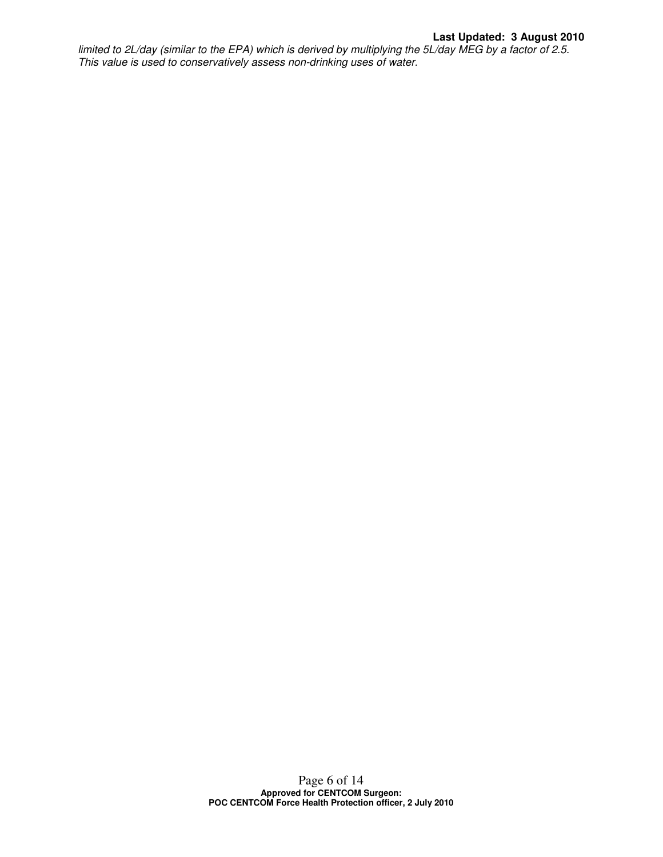limited to 2L/day (similar to the EPA) which is derived by multiplying the 5L/day MEG by a factor of 2.5. This value is used to conservatively assess non-drinking uses of water.

> Page 6 of 14 **Approved for CENTCOM Surgeon: POC CENTCOM Force Health Protection officer, 2 July 2010**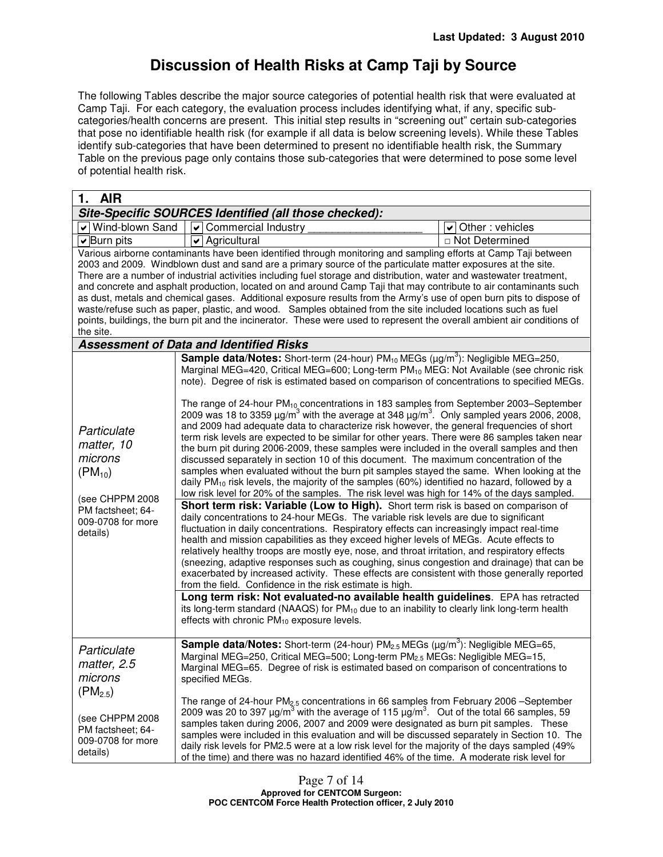# **Discussion of Health Risks at Camp Taji by Source**

The following Tables describe the major source categories of potential health risk that were evaluated at Camp Taji. For each category, the evaluation process includes identifying what, if any, specific subcategories/health concerns are present. This initial step results in "screening out" certain sub-categories that pose no identifiable health risk (for example if all data is below screening levels). While these Tables identify sub-categories that have been determined to present no identifiable health risk, the Summary Table on the previous page only contains those sub-categories that were determined to pose some level of potential health risk.

| V Wind-blown Sand                                                                                                                                                                                                                                                                                                                                                                                                                                                                                                                                                                                                                                                                                                                                                                                                                                                                                                                                                                                                                                                                                                                                                                                                                                                                                                                                                                                                                                                                                                                                                                                                                                                                                                                                                                                                                                                                                                                                                                                                                                                                                                                                                         | Site-Specific SOURCES Identified (all those checked):<br>$\overline{\mathbf{v}}$ Commercial Industry                                                                                                                                                                                                                                                                                                                                                                                                                                                                                                                                                                                                                                                                                                                                              | Other: vehicles<br>V |  |  |
|---------------------------------------------------------------------------------------------------------------------------------------------------------------------------------------------------------------------------------------------------------------------------------------------------------------------------------------------------------------------------------------------------------------------------------------------------------------------------------------------------------------------------------------------------------------------------------------------------------------------------------------------------------------------------------------------------------------------------------------------------------------------------------------------------------------------------------------------------------------------------------------------------------------------------------------------------------------------------------------------------------------------------------------------------------------------------------------------------------------------------------------------------------------------------------------------------------------------------------------------------------------------------------------------------------------------------------------------------------------------------------------------------------------------------------------------------------------------------------------------------------------------------------------------------------------------------------------------------------------------------------------------------------------------------------------------------------------------------------------------------------------------------------------------------------------------------------------------------------------------------------------------------------------------------------------------------------------------------------------------------------------------------------------------------------------------------------------------------------------------------------------------------------------------------|---------------------------------------------------------------------------------------------------------------------------------------------------------------------------------------------------------------------------------------------------------------------------------------------------------------------------------------------------------------------------------------------------------------------------------------------------------------------------------------------------------------------------------------------------------------------------------------------------------------------------------------------------------------------------------------------------------------------------------------------------------------------------------------------------------------------------------------------------|----------------------|--|--|
|                                                                                                                                                                                                                                                                                                                                                                                                                                                                                                                                                                                                                                                                                                                                                                                                                                                                                                                                                                                                                                                                                                                                                                                                                                                                                                                                                                                                                                                                                                                                                                                                                                                                                                                                                                                                                                                                                                                                                                                                                                                                                                                                                                           |                                                                                                                                                                                                                                                                                                                                                                                                                                                                                                                                                                                                                                                                                                                                                                                                                                                   |                      |  |  |
|                                                                                                                                                                                                                                                                                                                                                                                                                                                                                                                                                                                                                                                                                                                                                                                                                                                                                                                                                                                                                                                                                                                                                                                                                                                                                                                                                                                                                                                                                                                                                                                                                                                                                                                                                                                                                                                                                                                                                                                                                                                                                                                                                                           |                                                                                                                                                                                                                                                                                                                                                                                                                                                                                                                                                                                                                                                                                                                                                                                                                                                   |                      |  |  |
|                                                                                                                                                                                                                                                                                                                                                                                                                                                                                                                                                                                                                                                                                                                                                                                                                                                                                                                                                                                                                                                                                                                                                                                                                                                                                                                                                                                                                                                                                                                                                                                                                                                                                                                                                                                                                                                                                                                                                                                                                                                                                                                                                                           |                                                                                                                                                                                                                                                                                                                                                                                                                                                                                                                                                                                                                                                                                                                                                                                                                                                   | □ Not Determined     |  |  |
| Agricultural<br>$\triangleright$ Burn pits<br>✔<br>Various airborne contaminants have been identified through monitoring and sampling efforts at Camp Taji between<br>2003 and 2009. Windblown dust and sand are a primary source of the particulate matter exposures at the site.<br>There are a number of industrial activities including fuel storage and distribution, water and wastewater treatment,<br>and concrete and asphalt production, located on and around Camp Taji that may contribute to air contaminants such<br>as dust, metals and chemical gases. Additional exposure results from the Army's use of open burn pits to dispose of<br>waste/refuse such as paper, plastic, and wood. Samples obtained from the site included locations such as fuel<br>points, buildings, the burn pit and the incinerator. These were used to represent the overall ambient air conditions of<br>the site.<br>Assessment of Data and Identified Risks<br><b>Sample data/Notes:</b> Short-term (24-hour) PM <sub>10</sub> MEGs ( $\mu$ g/m <sup>3</sup> ): Negligible MEG=250,<br>Marginal MEG=420, Critical MEG=600; Long-term PM <sub>10</sub> MEG: Not Available (see chronic risk<br>note). Degree of risk is estimated based on comparison of concentrations to specified MEGs.<br>The range of 24-hour PM <sub>10</sub> concentrations in 183 samples from September 2003–September<br>2009 was 18 to 3359 $\mu$ g/m <sup>3</sup> with the average at 348 $\mu$ g/m <sup>3</sup> . Only sampled years 2006, 2008,<br>and 2009 had adequate data to characterize risk however, the general frequencies of short<br>Particulate<br>term risk levels are expected to be similar for other years. There were 86 samples taken near<br>matter, 10<br>the burn pit during 2006-2009, these samples were included in the overall samples and then<br>microns<br>discussed separately in section 10 of this document. The maximum concentration of the<br>samples when evaluated without the burn pit samples stayed the same. When looking at the<br>$(PM_{10})$<br>daily $PM_{10}$ risk levels, the majority of the samples (60%) identified no hazard, followed by a |                                                                                                                                                                                                                                                                                                                                                                                                                                                                                                                                                                                                                                                                                                                                                                                                                                                   |                      |  |  |
| low risk level for 20% of the samples. The risk level was high for 14% of the days sampled.<br>(see CHPPM 2008<br>Short term risk: Variable (Low to High). Short term risk is based on comparison of<br>PM factsheet; 64-<br>daily concentrations to 24-hour MEGs. The variable risk levels are due to significant<br>009-0708 for more<br>fluctuation in daily concentrations. Respiratory effects can increasingly impact real-time<br>details)<br>health and mission capabilities as they exceed higher levels of MEGs. Acute effects to<br>relatively healthy troops are mostly eye, nose, and throat irritation, and respiratory effects<br>(sneezing, adaptive responses such as coughing, sinus congestion and drainage) that can be<br>exacerbated by increased activity. These effects are consistent with those generally reported<br>from the field. Confidence in the risk estimate is high.<br>Long term risk: Not evaluated-no available health guidelines. EPA has retracted<br>its long-term standard (NAAQS) for PM <sub>10</sub> due to an inability to clearly link long-term health<br>effects with chronic PM <sub>10</sub> exposure levels.                                                                                                                                                                                                                                                                                                                                                                                                                                                                                                                                                                                                                                                                                                                                                                                                                                                                                                                                                                                                         |                                                                                                                                                                                                                                                                                                                                                                                                                                                                                                                                                                                                                                                                                                                                                                                                                                                   |                      |  |  |
| Particulate<br>matter, 2.5<br>microns<br>$(PM_{2.5})$<br>(see CHPPM 2008<br>PM factsheet; 64-<br>009-0708 for more<br>details)                                                                                                                                                                                                                                                                                                                                                                                                                                                                                                                                                                                                                                                                                                                                                                                                                                                                                                                                                                                                                                                                                                                                                                                                                                                                                                                                                                                                                                                                                                                                                                                                                                                                                                                                                                                                                                                                                                                                                                                                                                            | <b>Sample data/Notes:</b> Short-term (24-hour) $PM_{2.5}$ MEGs ( $\mu$ g/m <sup>3</sup> ): Negligible MEG=65,<br>Marginal MEG=250, Critical MEG=500; Long-term PM <sub>2.5</sub> MEGs: Negligible MEG=15,<br>Marginal MEG=65. Degree of risk is estimated based on comparison of concentrations to<br>specified MEGs.<br>The range of 24-hour PM <sub>2.5</sub> concentrations in 66 samples from February 2006 -September<br>2009 was 20 to 397 $\mu$ g/m <sup>3</sup> with the average of 115 $\mu$ g/m <sup>3</sup> . Out of the total 66 samples, 59<br>samples taken during 2006, 2007 and 2009 were designated as burn pit samples. These<br>samples were included in this evaluation and will be discussed separately in Section 10. The<br>daily risk levels for PM2.5 were at a low risk level for the majority of the days sampled (49% |                      |  |  |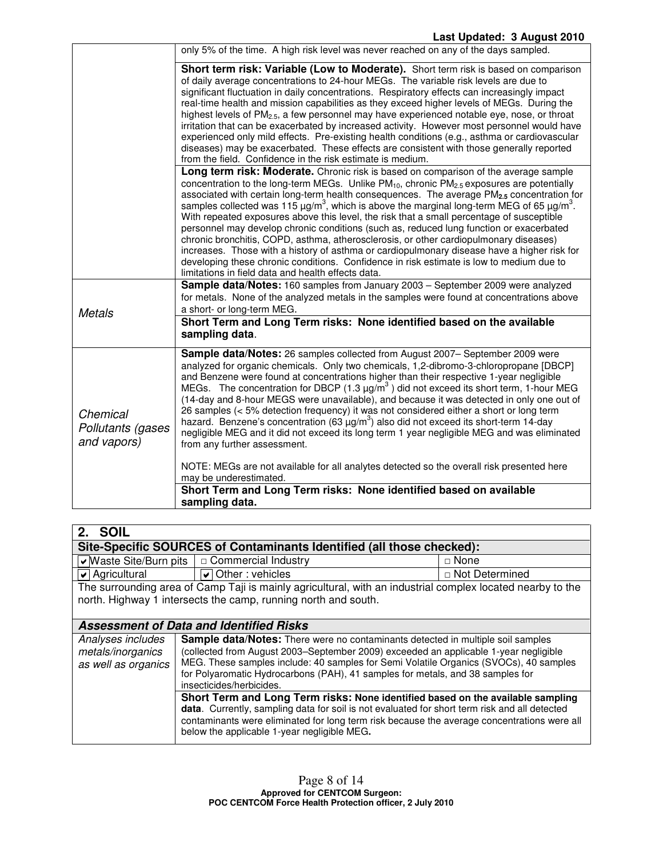|                                              | only 5% of the time. A high risk level was never reached on any of the days sampled.                                                                                                                                                                                                                                                                                                                                                                                                                                                                                                                                                                                                                                                                                                                                                                                                                                                                           |
|----------------------------------------------|----------------------------------------------------------------------------------------------------------------------------------------------------------------------------------------------------------------------------------------------------------------------------------------------------------------------------------------------------------------------------------------------------------------------------------------------------------------------------------------------------------------------------------------------------------------------------------------------------------------------------------------------------------------------------------------------------------------------------------------------------------------------------------------------------------------------------------------------------------------------------------------------------------------------------------------------------------------|
|                                              | Short term risk: Variable (Low to Moderate). Short term risk is based on comparison<br>of daily average concentrations to 24-hour MEGs. The variable risk levels are due to<br>significant fluctuation in daily concentrations. Respiratory effects can increasingly impact<br>real-time health and mission capabilities as they exceed higher levels of MEGs. During the<br>highest levels of PM <sub>2.5</sub> , a few personnel may have experienced notable eye, nose, or throat<br>irritation that can be exacerbated by increased activity. However most personnel would have<br>experienced only mild effects. Pre-existing health conditions (e.g., asthma or cardiovascular<br>diseases) may be exacerbated. These effects are consistent with those generally reported<br>from the field. Confidence in the risk estimate is medium.                                                                                                                 |
|                                              | Long term risk: Moderate. Chronic risk is based on comparison of the average sample<br>concentration to the long-term MEGs. Unlike PM <sub>10</sub> , chronic PM <sub>2.5</sub> exposures are potentially<br>associated with certain long-term health consequences. The average PM <sub>2.5</sub> concentration for<br>samples collected was 115 $\mu g/m^3$ , which is above the marginal long-term MEG of 65 $\mu g/m^3$ .<br>With repeated exposures above this level, the risk that a small percentage of susceptible<br>personnel may develop chronic conditions (such as, reduced lung function or exacerbated<br>chronic bronchitis, COPD, asthma, atherosclerosis, or other cardiopulmonary diseases)<br>increases. Those with a history of asthma or cardiopulmonary disease have a higher risk for<br>developing these chronic conditions. Confidence in risk estimate is low to medium due to<br>limitations in field data and health effects data. |
| <b>Metals</b>                                | Sample data/Notes: 160 samples from January 2003 - September 2009 were analyzed<br>for metals. None of the analyzed metals in the samples were found at concentrations above<br>a short- or long-term MEG.                                                                                                                                                                                                                                                                                                                                                                                                                                                                                                                                                                                                                                                                                                                                                     |
|                                              | Short Term and Long Term risks: None identified based on the available<br>sampling data.                                                                                                                                                                                                                                                                                                                                                                                                                                                                                                                                                                                                                                                                                                                                                                                                                                                                       |
| Chemical<br>Pollutants (gases<br>and vapors) | <b>Sample data/Notes:</b> 26 samples collected from August 2007– September 2009 were<br>analyzed for organic chemicals. Only two chemicals, 1,2-dibromo-3-chloropropane [DBCP]<br>and Benzene were found at concentrations higher than their respective 1-year negligible<br>MEGs. The concentration for DBCP (1.3 $\mu$ g/m <sup>3</sup> ) did not exceed its short term, 1-hour MEG<br>(14-day and 8-hour MEGS were unavailable), and because it was detected in only one out of<br>26 samples (< 5% detection frequency) it was not considered either a short or long term<br>hazard. Benzene's concentration (63 $\mu$ g/m <sup>3</sup> ) also did not exceed its short-term 14-day<br>negligible MEG and it did not exceed its long term 1 year negligible MEG and was eliminated<br>from any further assessment.<br>NOTE: MEGs are not available for all analytes detected so the overall risk presented here                                            |
|                                              | may be underestimated.<br>Short Term and Long Term risks: None identified based on available<br>sampling data.                                                                                                                                                                                                                                                                                                                                                                                                                                                                                                                                                                                                                                                                                                                                                                                                                                                 |
|                                              |                                                                                                                                                                                                                                                                                                                                                                                                                                                                                                                                                                                                                                                                                                                                                                                                                                                                                                                                                                |

| SOIL<br>2.                                                            |                                                                                                                                                                                                                                                                                                                                                                                |                  |  |  |
|-----------------------------------------------------------------------|--------------------------------------------------------------------------------------------------------------------------------------------------------------------------------------------------------------------------------------------------------------------------------------------------------------------------------------------------------------------------------|------------------|--|--|
| Site-Specific SOURCES of Contaminants Identified (all those checked): |                                                                                                                                                                                                                                                                                                                                                                                |                  |  |  |
| $\blacktriangleright$ Waste Site/Burn pits                            | □ Commercial Industry                                                                                                                                                                                                                                                                                                                                                          | $\Box$ None      |  |  |
| $\sqrt{\phantom{a}}$ Agricultural                                     | $\overline{\triangledown}$ Other : vehicles                                                                                                                                                                                                                                                                                                                                    | □ Not Determined |  |  |
|                                                                       | The surrounding area of Camp Taji is mainly agricultural, with an industrial complex located nearby to the                                                                                                                                                                                                                                                                     |                  |  |  |
|                                                                       | north. Highway 1 intersects the camp, running north and south.                                                                                                                                                                                                                                                                                                                 |                  |  |  |
|                                                                       |                                                                                                                                                                                                                                                                                                                                                                                |                  |  |  |
|                                                                       | <b>Assessment of Data and Identified Risks</b>                                                                                                                                                                                                                                                                                                                                 |                  |  |  |
| Analyses includes<br>metals/inorganics<br>as well as organics         | Sample data/Notes: There were no contaminants detected in multiple soil samples<br>(collected from August 2003–September 2009) exceeded an applicable 1-year negligible<br>MEG. These samples include: 40 samples for Semi Volatile Organics (SVOCs), 40 samples<br>for Polyaromatic Hydrocarbons (PAH), 41 samples for metals, and 38 samples for<br>insecticides/herbicides. |                  |  |  |
|                                                                       | Short Term and Long Term risks: None identified based on the available sampling<br>data. Currently, sampling data for soil is not evaluated for short term risk and all detected<br>contaminants were eliminated for long term risk because the average concentrations were all<br>below the applicable 1-year negligible MEG.                                                 |                  |  |  |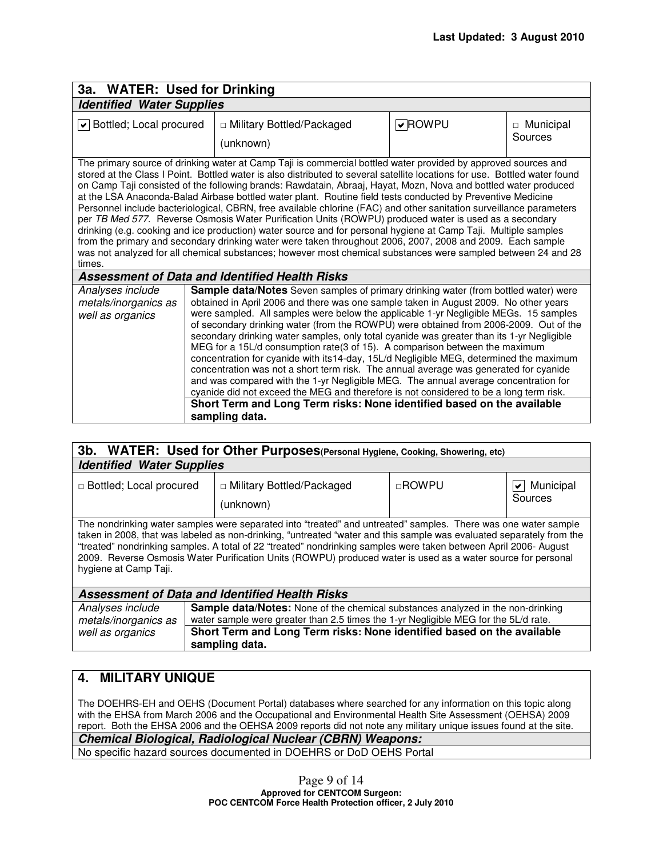| 3a. WATER: Used for Drinking                                                                                                                                                                                                                                                                                                                                                                                                                                                                                                                                                                                                                                                                                                                                                                                                                                                                                                                                                                                                                                                |                                                       |        |                        |  |
|-----------------------------------------------------------------------------------------------------------------------------------------------------------------------------------------------------------------------------------------------------------------------------------------------------------------------------------------------------------------------------------------------------------------------------------------------------------------------------------------------------------------------------------------------------------------------------------------------------------------------------------------------------------------------------------------------------------------------------------------------------------------------------------------------------------------------------------------------------------------------------------------------------------------------------------------------------------------------------------------------------------------------------------------------------------------------------|-------------------------------------------------------|--------|------------------------|--|
| <b>Identified Water Supplies</b>                                                                                                                                                                                                                                                                                                                                                                                                                                                                                                                                                                                                                                                                                                                                                                                                                                                                                                                                                                                                                                            |                                                       |        |                        |  |
| v Bottled; Local procured<br>□ Military Bottled/Packaged<br>(unknown)                                                                                                                                                                                                                                                                                                                                                                                                                                                                                                                                                                                                                                                                                                                                                                                                                                                                                                                                                                                                       |                                                       | VROWPU | □ Municipal<br>Sources |  |
| The primary source of drinking water at Camp Taji is commercial bottled water provided by approved sources and<br>stored at the Class I Point. Bottled water is also distributed to several satellite locations for use. Bottled water found<br>on Camp Taji consisted of the following brands: Rawdatain, Abraaj, Hayat, Mozn, Nova and bottled water produced<br>at the LSA Anaconda-Balad Airbase bottled water plant. Routine field tests conducted by Preventive Medicine<br>Personnel include bacteriological, CBRN, free available chlorine (FAC) and other sanitation surveillance parameters<br>per TB Med 577. Reverse Osmosis Water Purification Units (ROWPU) produced water is used as a secondary<br>drinking (e.g. cooking and ice production) water source and for personal hygiene at Camp Taji. Multiple samples<br>from the primary and secondary drinking water were taken throughout 2006, 2007, 2008 and 2009. Each sample<br>was not analyzed for all chemical substances; however most chemical substances were sampled between 24 and 28<br>times. |                                                       |        |                        |  |
|                                                                                                                                                                                                                                                                                                                                                                                                                                                                                                                                                                                                                                                                                                                                                                                                                                                                                                                                                                                                                                                                             | <b>Assessment of Data and Identified Health Risks</b> |        |                        |  |
| <b>Sample data/Notes</b> Seven samples of primary drinking water (from bottled water) were<br>Analyses include<br>obtained in April 2006 and there was one sample taken in August 2009. No other years<br>metals/inorganics as<br>were sampled. All samples were below the applicable 1-yr Negligible MEGs. 15 samples<br>well as organics<br>of secondary drinking water (from the ROWPU) were obtained from 2006-2009. Out of the<br>secondary drinking water samples, only total cyanide was greater than its 1-yr Negligible<br>MEG for a 15L/d consumption rate(3 of 15). A comparison between the maximum<br>concentration for cyanide with its14-day, 15L/d Negligible MEG, determined the maximum<br>concentration was not a short term risk. The annual average was generated for cyanide<br>and was compared with the 1-yr Negligible MEG. The annual average concentration for<br>cyanide did not exceed the MEG and therefore is not considered to be a long term risk.                                                                                         |                                                       |        |                        |  |
| Short Term and Long Term risks: None identified based on the available<br>sampling data.                                                                                                                                                                                                                                                                                                                                                                                                                                                                                                                                                                                                                                                                                                                                                                                                                                                                                                                                                                                    |                                                       |        |                        |  |

| 3b. WATER: Used for Other Purposes(Personal Hygiene, Cooking, Showering, etc)                                                                                                                                                                                                                                                                                                                                                                                                                       |                                                                                          |              |                                |  |
|-----------------------------------------------------------------------------------------------------------------------------------------------------------------------------------------------------------------------------------------------------------------------------------------------------------------------------------------------------------------------------------------------------------------------------------------------------------------------------------------------------|------------------------------------------------------------------------------------------|--------------|--------------------------------|--|
| <b>Identified Water Supplies</b>                                                                                                                                                                                                                                                                                                                                                                                                                                                                    |                                                                                          |              |                                |  |
| □ Bottled; Local procured                                                                                                                                                                                                                                                                                                                                                                                                                                                                           | □ Military Bottled/Packaged<br>(unknown)                                                 | $\Box$ ROWPU | Municipal<br>$\vee$<br>Sources |  |
| The nondrinking water samples were separated into "treated" and untreated" samples. There was one water sample<br>taken in 2008, that was labeled as non-drinking, "untreated "water and this sample was evaluated separately from the<br>"treated" nondrinking samples. A total of 22 "treated" nondrinking samples were taken between April 2006- August<br>2009. Reverse Osmosis Water Purification Units (ROWPU) produced water is used as a water source for personal<br>hygiene at Camp Taji. |                                                                                          |              |                                |  |
| Assessment of Data and Identified Health Risks                                                                                                                                                                                                                                                                                                                                                                                                                                                      |                                                                                          |              |                                |  |
| Analyses include                                                                                                                                                                                                                                                                                                                                                                                                                                                                                    | <b>Sample data/Notes:</b> None of the chemical substances analyzed in the non-drinking   |              |                                |  |
| well as organics                                                                                                                                                                                                                                                                                                                                                                                                                                                                                    | Short Term and Long Term risks: None identified based on the available<br>sampling data. |              |                                |  |
| water sample were greater than 2.5 times the 1-yr Negligible MEG for the 5L/d rate.<br>metals/inorganics as                                                                                                                                                                                                                                                                                                                                                                                         |                                                                                          |              |                                |  |

## **4. MILITARY UNIQUE**

The DOEHRS-EH and OEHS (Document Portal) databases where searched for any information on this topic along with the EHSA from March 2006 and the Occupational and Environmental Health Site Assessment (OEHSA) 2009 report. Both the EHSA 2006 and the OEHSA 2009 reports did not note any military unique issues found at the site. **Chemical Biological, Radiological Nuclear (CBRN) Weapons:**  No specific hazard sources documented in DOEHRS or DoD OEHS Portal

> Page 9 of 14 **Approved for CENTCOM Surgeon: POC CENTCOM Force Health Protection officer, 2 July 2010**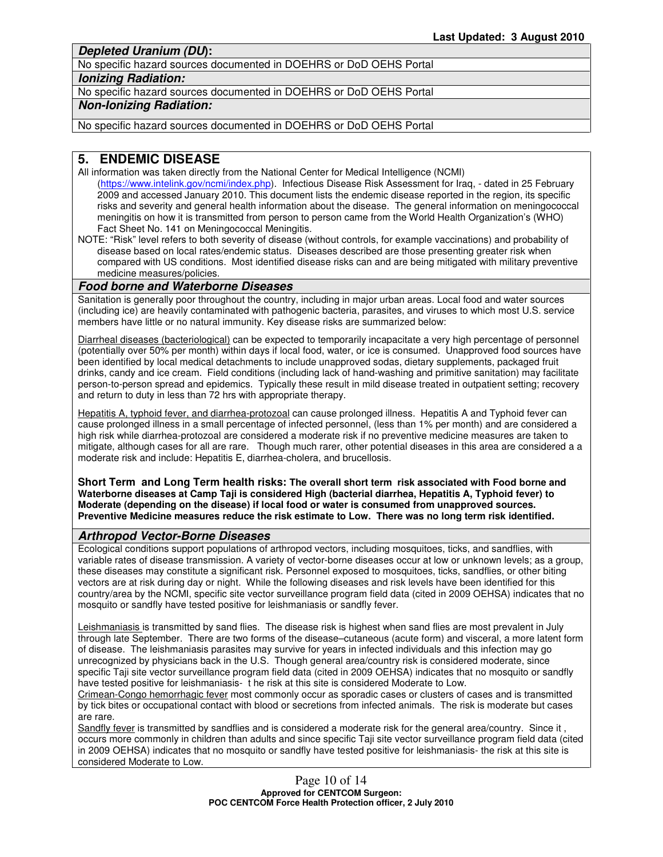**Depleted Uranium (DU):** 

No specific hazard sources documented in DOEHRS or DoD OEHS Portal

#### **Ionizing Radiation:**

No specific hazard sources documented in DOEHRS or DoD OEHS Portal

## **Non-Ionizing Radiation:**

No specific hazard sources documented in DOEHRS or DoD OEHS Portal

## **5. ENDEMIC DISEASE**

- All information was taken directly from the National Center for Medical Intelligence (NCMI) (https://www.intelink.gov/ncmi/index.php). Infectious Disease Risk Assessment for Iraq, - dated in 25 February 2009 and accessed January 2010. This document lists the endemic disease reported in the region, its specific risks and severity and general health information about the disease. The general information on meningococcal meningitis on how it is transmitted from person to person came from the World Health Organization's (WHO) Fact Sheet No. 141 on Meningococcal Meningitis.
- NOTE: "Risk" level refers to both severity of disease (without controls, for example vaccinations) and probability of disease based on local rates/endemic status. Diseases described are those presenting greater risk when compared with US conditions. Most identified disease risks can and are being mitigated with military preventive medicine measures/policies.

## **Food borne and Waterborne Diseases**

Sanitation is generally poor throughout the country, including in major urban areas. Local food and water sources (including ice) are heavily contaminated with pathogenic bacteria, parasites, and viruses to which most U.S. service members have little or no natural immunity. Key disease risks are summarized below:

Diarrheal diseases (bacteriological) can be expected to temporarily incapacitate a very high percentage of personnel (potentially over 50% per month) within days if local food, water, or ice is consumed. Unapproved food sources have been identified by local medical detachments to include unapproved sodas, dietary supplements, packaged fruit drinks, candy and ice cream. Field conditions (including lack of hand-washing and primitive sanitation) may facilitate person-to-person spread and epidemics. Typically these result in mild disease treated in outpatient setting; recovery and return to duty in less than 72 hrs with appropriate therapy.

Hepatitis A, typhoid fever, and diarrhea-protozoal can cause prolonged illness. Hepatitis A and Typhoid fever can cause prolonged illness in a small percentage of infected personnel, (less than 1% per month) and are considered a high risk while diarrhea-protozoal are considered a moderate risk if no preventive medicine measures are taken to mitigate, although cases for all are rare. Though much rarer, other potential diseases in this area are considered a a moderate risk and include: Hepatitis E, diarrhea-cholera, and brucellosis.

**Short Term and Long Term health risks: The overall short term risk associated with Food borne and Waterborne diseases at Camp Taji is considered High (bacterial diarrhea, Hepatitis A, Typhoid fever) to Moderate (depending on the disease) if local food or water is consumed from unapproved sources. Preventive Medicine measures reduce the risk estimate to Low. There was no long term risk identified.**

### **Arthropod Vector-Borne Diseases**

Ecological conditions support populations of arthropod vectors, including mosquitoes, ticks, and sandflies, with variable rates of disease transmission. A variety of vector-borne diseases occur at low or unknown levels; as a group, these diseases may constitute a significant risk. Personnel exposed to mosquitoes, ticks, sandflies, or other biting vectors are at risk during day or night. While the following diseases and risk levels have been identified for this country/area by the NCMI, specific site vector surveillance program field data (cited in 2009 OEHSA) indicates that no mosquito or sandfly have tested positive for leishmaniasis or sandfly fever.

Leishmaniasis is transmitted by sand flies. The disease risk is highest when sand flies are most prevalent in July through late September. There are two forms of the disease–cutaneous (acute form) and visceral, a more latent form of disease. The leishmaniasis parasites may survive for years in infected individuals and this infection may go unrecognized by physicians back in the U.S. Though general area/country risk is considered moderate, since specific Taji site vector surveillance program field data (cited in 2009 OEHSA) indicates that no mosquito or sandfly have tested positive for leishmaniasis- t he risk at this site is considered Moderate to Low.

Crimean-Congo hemorrhagic fever most commonly occur as sporadic cases or clusters of cases and is transmitted by tick bites or occupational contact with blood or secretions from infected animals. The risk is moderate but cases are rare.

Sandfly fever is transmitted by sandflies and is considered a moderate risk for the general area/country. Since it , occurs more commonly in children than adults and since specific Taji site vector surveillance program field data (cited in 2009 OEHSA) indicates that no mosquito or sandfly have tested positive for leishmaniasis- the risk at this site is considered Moderate to Low.

> Page 10 of 14 **Approved for CENTCOM Surgeon: POC CENTCOM Force Health Protection officer, 2 July 2010**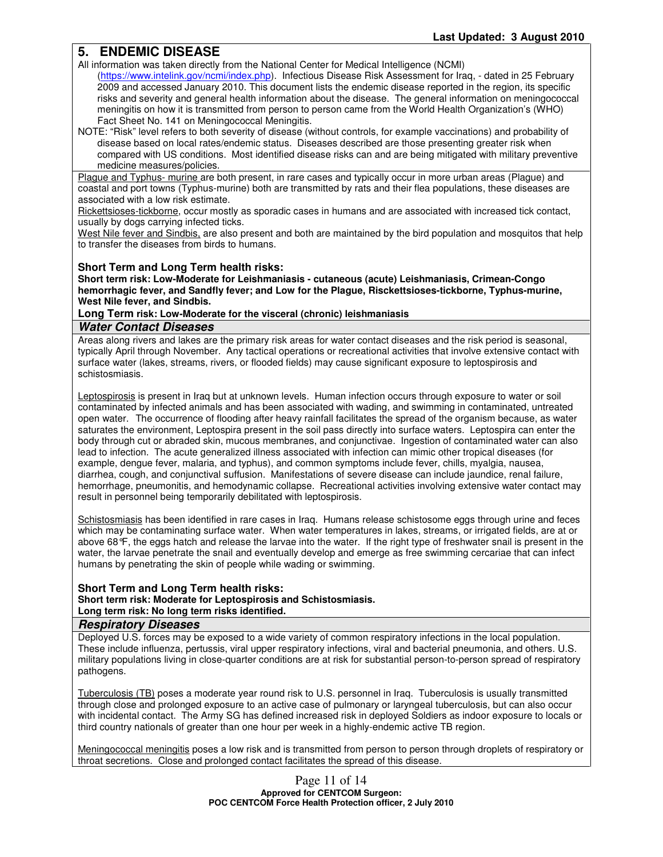## **5. ENDEMIC DISEASE**

All information was taken directly from the National Center for Medical Intelligence (NCMI)

- (https://www.intelink.gov/ncmi/index.php). Infectious Disease Risk Assessment for Iraq, dated in 25 February 2009 and accessed January 2010. This document lists the endemic disease reported in the region, its specific risks and severity and general health information about the disease. The general information on meningococcal meningitis on how it is transmitted from person to person came from the World Health Organization's (WHO) Fact Sheet No. 141 on Meningococcal Meningitis.
- NOTE: "Risk" level refers to both severity of disease (without controls, for example vaccinations) and probability of disease based on local rates/endemic status. Diseases described are those presenting greater risk when compared with US conditions. Most identified disease risks can and are being mitigated with military preventive medicine measures/policies.

Plague and Typhus- murine are both present, in rare cases and typically occur in more urban areas (Plague) and coastal and port towns (Typhus-murine) both are transmitted by rats and their flea populations, these diseases are associated with a low risk estimate.

Rickettsioses-tickborne, occur mostly as sporadic cases in humans and are associated with increased tick contact, usually by dogs carrying infected ticks.

West Nile fever and Sindbis, are also present and both are maintained by the bird population and mosquitos that help to transfer the diseases from birds to humans.

### **Short Term and Long Term health risks:**

**Short term risk: Low-Moderate for Leishmaniasis - cutaneous (acute) Leishmaniasis, Crimean-Congo hemorrhagic fever, and Sandfly fever; and Low for the Plague, Risckettsioses-tickborne, Typhus-murine, West Nile fever, and Sindbis.** 

#### **Long Term risk: Low-Moderate for the visceral (chronic) leishmaniasis**

### **Water Contact Diseases**

Areas along rivers and lakes are the primary risk areas for water contact diseases and the risk period is seasonal, typically April through November. Any tactical operations or recreational activities that involve extensive contact with surface water (lakes, streams, rivers, or flooded fields) may cause significant exposure to leptospirosis and schistosmiasis.

Leptospirosis is present in Iraq but at unknown levels. Human infection occurs through exposure to water or soil contaminated by infected animals and has been associated with wading, and swimming in contaminated, untreated open water. The occurrence of flooding after heavy rainfall facilitates the spread of the organism because, as water saturates the environment, Leptospira present in the soil pass directly into surface waters. Leptospira can enter the body through cut or abraded skin, mucous membranes, and conjunctivae. Ingestion of contaminated water can also lead to infection. The acute generalized illness associated with infection can mimic other tropical diseases (for example, dengue fever, malaria, and typhus), and common symptoms include fever, chills, myalgia, nausea, diarrhea, cough, and conjunctival suffusion. Manifestations of severe disease can include jaundice, renal failure, hemorrhage, pneumonitis, and hemodynamic collapse. Recreational activities involving extensive water contact may result in personnel being temporarily debilitated with leptospirosis.

Schistosmiasis has been identified in rare cases in Iraq. Humans release schistosome eggs through urine and feces which may be contaminating surface water. When water temperatures in lakes, streams, or irrigated fields, are at or above 68°F, the eggs hatch and release the larvae into the water. If the right type of freshwater snail is present in the water, the larvae penetrate the snail and eventually develop and emerge as free swimming cercariae that can infect humans by penetrating the skin of people while wading or swimming.

#### **Short Term and Long Term health risks: Short term risk: Moderate for Leptospirosis and Schistosmiasis. Long term risk: No long term risks identified.**

#### **Respiratory Diseases**

Deployed U.S. forces may be exposed to a wide variety of common respiratory infections in the local population. These include influenza, pertussis, viral upper respiratory infections, viral and bacterial pneumonia, and others. U.S. military populations living in close-quarter conditions are at risk for substantial person-to-person spread of respiratory pathogens.

Tuberculosis (TB) poses a moderate year round risk to U.S. personnel in Iraq. Tuberculosis is usually transmitted through close and prolonged exposure to an active case of pulmonary or laryngeal tuberculosis, but can also occur with incidental contact. The Army SG has defined increased risk in deployed Soldiers as indoor exposure to locals or third country nationals of greater than one hour per week in a highly-endemic active TB region.

Meningococcal meningitis poses a low risk and is transmitted from person to person through droplets of respiratory or throat secretions. Close and prolonged contact facilitates the spread of this disease.

> Page 11 of 14 **Approved for CENTCOM Surgeon: POC CENTCOM Force Health Protection officer, 2 July 2010**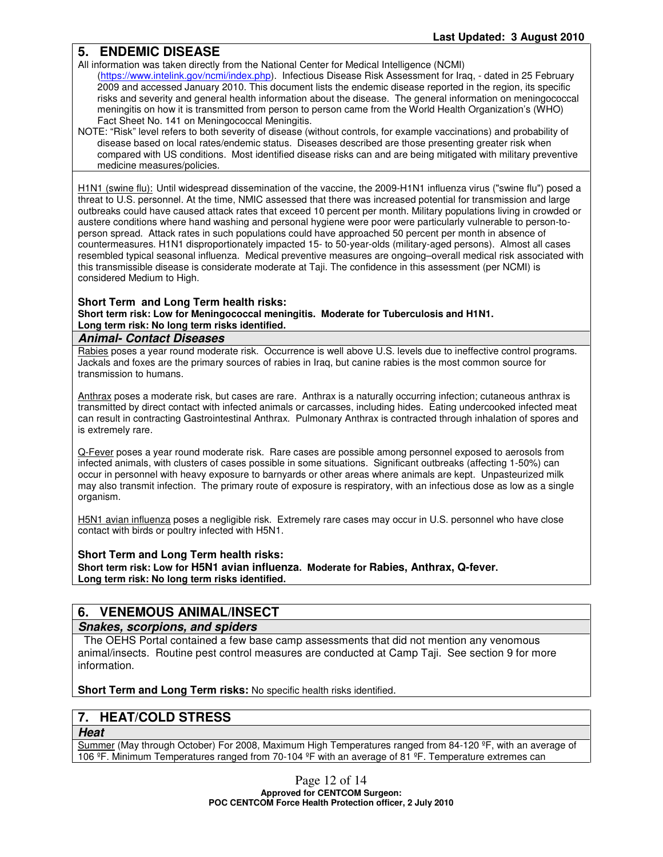## **5. ENDEMIC DISEASE**

All information was taken directly from the National Center for Medical Intelligence (NCMI)

- (https://www.intelink.gov/ncmi/index.php). Infectious Disease Risk Assessment for Iraq, dated in 25 February 2009 and accessed January 2010. This document lists the endemic disease reported in the region, its specific risks and severity and general health information about the disease. The general information on meningococcal meningitis on how it is transmitted from person to person came from the World Health Organization's (WHO) Fact Sheet No. 141 on Meningococcal Meningitis.
- NOTE: "Risk" level refers to both severity of disease (without controls, for example vaccinations) and probability of disease based on local rates/endemic status. Diseases described are those presenting greater risk when compared with US conditions. Most identified disease risks can and are being mitigated with military preventive medicine measures/policies.

H1N1 (swine flu): Until widespread dissemination of the vaccine, the 2009-H1N1 influenza virus ("swine flu") posed a threat to U.S. personnel. At the time, NMIC assessed that there was increased potential for transmission and large outbreaks could have caused attack rates that exceed 10 percent per month. Military populations living in crowded or austere conditions where hand washing and personal hygiene were poor were particularly vulnerable to person-toperson spread. Attack rates in such populations could have approached 50 percent per month in absence of countermeasures. H1N1 disproportionately impacted 15- to 50-year-olds (military-aged persons). Almost all cases resembled typical seasonal influenza. Medical preventive measures are ongoing–overall medical risk associated with this transmissible disease is considerate moderate at Taji. The confidence in this assessment (per NCMI) is considered Medium to High.

## **Short Term and Long Term health risks:**

**Short term risk: Low for Meningococcal meningitis. Moderate for Tuberculosis and H1N1. Long term risk: No long term risks identified.**

## **Animal- Contact Diseases**

Rabies poses a year round moderate risk. Occurrence is well above U.S. levels due to ineffective control programs. Jackals and foxes are the primary sources of rabies in Iraq, but canine rabies is the most common source for transmission to humans.

Anthrax poses a moderate risk, but cases are rare. Anthrax is a naturally occurring infection; cutaneous anthrax is transmitted by direct contact with infected animals or carcasses, including hides. Eating undercooked infected meat can result in contracting Gastrointestinal Anthrax. Pulmonary Anthrax is contracted through inhalation of spores and is extremely rare.

Q-Fever poses a year round moderate risk. Rare cases are possible among personnel exposed to aerosols from infected animals, with clusters of cases possible in some situations. Significant outbreaks (affecting 1-50%) can occur in personnel with heavy exposure to barnyards or other areas where animals are kept. Unpasteurized milk may also transmit infection. The primary route of exposure is respiratory, with an infectious dose as low as a single organism.

H5N1 avian influenza poses a negligible risk. Extremely rare cases may occur in U.S. personnel who have close contact with birds or poultry infected with H5N1.

### **Short Term and Long Term health risks:**

**Short term risk: Low for H5N1 avian influenza. Moderate for Rabies, Anthrax, Q-fever. Long term risk: No long term risks identified.**

## **6. VENEMOUS ANIMAL/INSECT**

## **Snakes, scorpions, and spiders**

 The OEHS Portal contained a few base camp assessments that did not mention any venomous animal/insects. Routine pest control measures are conducted at Camp Taji. See section 9 for more information.

**Short Term and Long Term risks:** No specific health risks identified.

## **7. HEAT/COLD STRESS**

**Heat**

Summer (May through October) For 2008, Maximum High Temperatures ranged from 84-120 ºF, with an average of 106 ºF. Minimum Temperatures ranged from 70-104 ºF with an average of 81 ºF. Temperature extremes can

> Page 12 of 14 **Approved for CENTCOM Surgeon: POC CENTCOM Force Health Protection officer, 2 July 2010**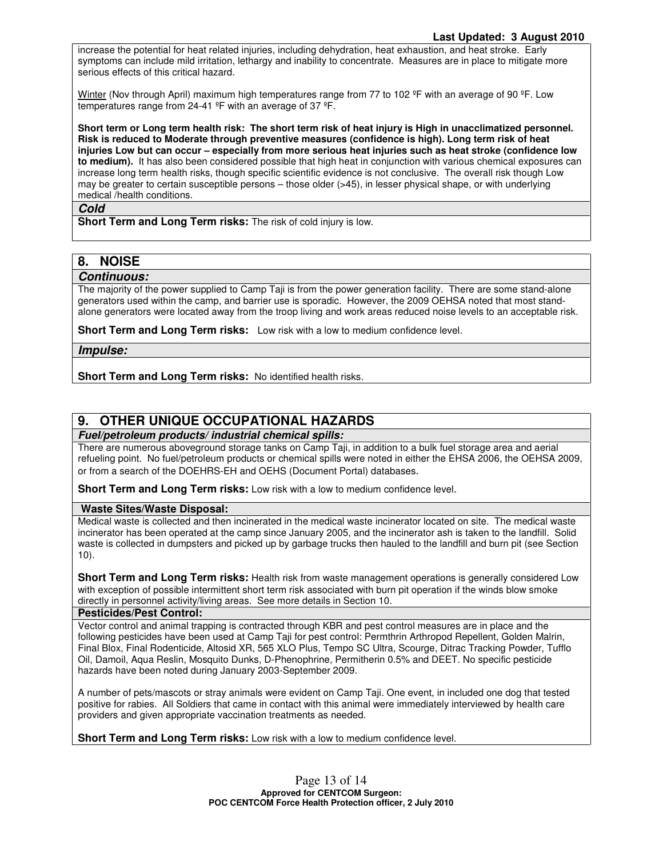increase the potential for heat related injuries, including dehydration, heat exhaustion, and heat stroke. Early symptoms can include mild irritation, lethargy and inability to concentrate. Measures are in place to mitigate more serious effects of this critical hazard.

Winter (Nov through April) maximum high temperatures range from 77 to 102 °F with an average of 90 °F. Low temperatures range from 24-41 ºF with an average of 37 ºF.

**Short term or Long term health risk: The short term risk of heat injury is High in unacclimatized personnel. Risk is reduced to Moderate through preventive measures (confidence is high). Long term risk of heat injuries Low but can occur – especially from more serious heat injuries such as heat stroke (confidence low to medium).** It has also been considered possible that high heat in conjunction with various chemical exposures can increase long term health risks, though specific scientific evidence is not conclusive. The overall risk though Low may be greater to certain susceptible persons – those older (>45), in lesser physical shape, or with underlying medical /health conditions.

#### **Cold**

**Short Term and Long Term risks:** The risk of cold injury is low.

## **8. NOISE**

### **Continuous:**

The majority of the power supplied to Camp Taji is from the power generation facility. There are some stand-alone generators used within the camp, and barrier use is sporadic. However, the 2009 OEHSA noted that most standalone generators were located away from the troop living and work areas reduced noise levels to an acceptable risk.

**Short Term and Long Term risks:** Low risk with a low to medium confidence level.

**Impulse:** 

**Short Term and Long Term risks:** No identified health risks.

## **9. OTHER UNIQUE OCCUPATIONAL HAZARDS**

**Fuel/petroleum products/ industrial chemical spills:** 

There are numerous aboveground storage tanks on Camp Taji, in addition to a bulk fuel storage area and aerial refueling point. No fuel/petroleum products or chemical spills were noted in either the EHSA 2006, the OEHSA 2009, or from a search of the DOEHRS-EH and OEHS (Document Portal) databases.

**Short Term and Long Term risks:** Low risk with a low to medium confidence level.

### **Waste Sites/Waste Disposal:**

Medical waste is collected and then incinerated in the medical waste incinerator located on site. The medical waste incinerator has been operated at the camp since January 2005, and the incinerator ash is taken to the landfill. Solid waste is collected in dumpsters and picked up by garbage trucks then hauled to the landfill and burn pit (see Section 10).

**Short Term and Long Term risks:** Health risk from waste management operations is generally considered Low with exception of possible intermittent short term risk associated with burn pit operation if the winds blow smoke directly in personnel activity/living areas. See more details in Section 10.

#### **Pesticides/Pest Control:**

Vector control and animal trapping is contracted through KBR and pest control measures are in place and the following pesticides have been used at Camp Taji for pest control: Permthrin Arthropod Repellent, Golden Malrin, Final Blox, Final Rodenticide, Altosid XR, 565 XLO Plus, Tempo SC Ultra, Scourge, Ditrac Tracking Powder, Tufflo Oil, Damoil, Aqua Reslin, Mosquito Dunks, D-Phenophrine, Permitherin 0.5% and DEET. No specific pesticide hazards have been noted during January 2003-September 2009.

A number of pets/mascots or stray animals were evident on Camp Taji. One event, in included one dog that tested positive for rabies. All Soldiers that came in contact with this animal were immediately interviewed by health care providers and given appropriate vaccination treatments as needed.

**Short Term and Long Term risks:** Low risk with a low to medium confidence level.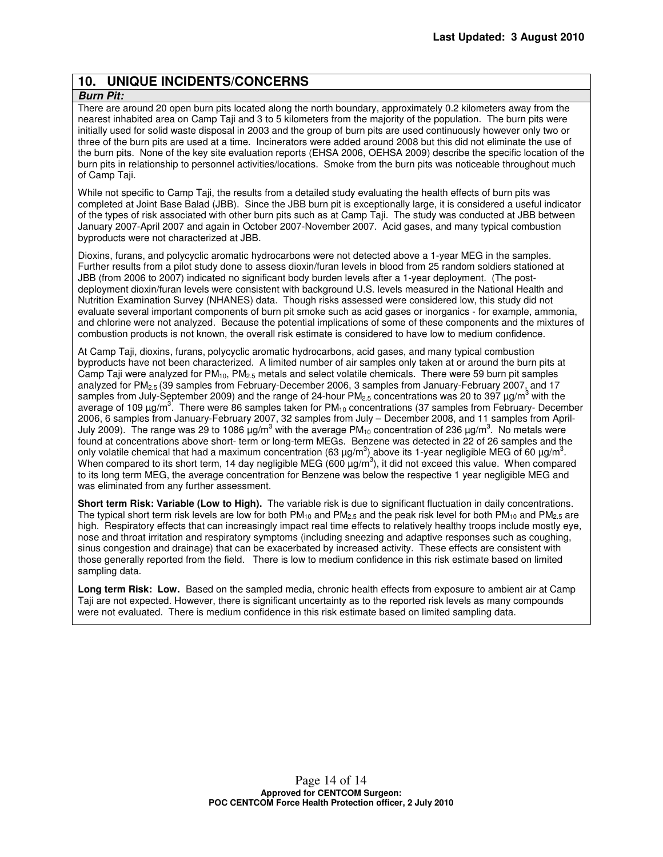## **10. UNIQUE INCIDENTS/CONCERNS**

### **Burn Pit:**

There are around 20 open burn pits located along the north boundary, approximately 0.2 kilometers away from the nearest inhabited area on Camp Taji and 3 to 5 kilometers from the majority of the population. The burn pits were initially used for solid waste disposal in 2003 and the group of burn pits are used continuously however only two or three of the burn pits are used at a time. Incinerators were added around 2008 but this did not eliminate the use of the burn pits. None of the key site evaluation reports (EHSA 2006, OEHSA 2009) describe the specific location of the burn pits in relationship to personnel activities/locations. Smoke from the burn pits was noticeable throughout much of Camp Taji.

While not specific to Camp Taji, the results from a detailed study evaluating the health effects of burn pits was completed at Joint Base Balad (JBB). Since the JBB burn pit is exceptionally large, it is considered a useful indicator of the types of risk associated with other burn pits such as at Camp Taji. The study was conducted at JBB between January 2007-April 2007 and again in October 2007-November 2007. Acid gases, and many typical combustion byproducts were not characterized at JBB.

Dioxins, furans, and polycyclic aromatic hydrocarbons were not detected above a 1-year MEG in the samples. Further results from a pilot study done to assess dioxin/furan levels in blood from 25 random soldiers stationed at JBB (from 2006 to 2007) indicated no significant body burden levels after a 1-year deployment. (The postdeployment dioxin/furan levels were consistent with background U.S. levels measured in the National Health and Nutrition Examination Survey (NHANES) data. Though risks assessed were considered low, this study did not evaluate several important components of burn pit smoke such as acid gases or inorganics - for example, ammonia, and chlorine were not analyzed. Because the potential implications of some of these components and the mixtures of combustion products is not known, the overall risk estimate is considered to have low to medium confidence.

At Camp Taji, dioxins, furans, polycyclic aromatic hydrocarbons, acid gases, and many typical combustion byproducts have not been characterized. A limited number of air samples only taken at or around the burn pits at Camp Taji were analyzed for  $PM_{10}$ ,  $PM_{2.5}$  metals and select volatile chemicals. There were 59 burn pit samples analyzed for PM2.5 (39 samples from February-December 2006, 3 samples from January-February 2007, and 17 samples from July-September 2009) and the range of 24-hour PM<sub>2.5</sub> concentrations was 20 to 397  $\mu$ g/m<sup>3</sup> with the average of 109 µg/m<sup>3</sup>. There were 86 samples taken for PM<sub>10</sub> concentrations (37 samples from February- December 2006, 6 samples from January-February 2007, 32 samples from July – December 2008, and 11 samples from April-July 2009). The range was 29 to 1086  $\mu$ g/m<sup>3</sup> with the average PM<sub>10</sub> concentration of 236  $\mu$ g/m<sup>3</sup>. No metals were found at concentrations above short- term or long-term MEGs. Benzene was detected in 22 of 26 samples and the only volatile chemical that had a maximum concentration (63  $\mu$ g/m<sup>3</sup>) above its 1-year negligible MEG of 60  $\mu$ g/m<sup>3</sup>. When compared to its short term, 14 day negligible MEG (600  $\mu$ g/m<sup>3</sup>), it did not exceed this value. When compared to its long term MEG, the average concentration for Benzene was below the respective 1 year negligible MEG and was eliminated from any further assessment.

**Short term Risk: Variable (Low to High).** The variable risk is due to significant fluctuation in daily concentrations. The typical short term risk levels are low for both PM<sub>10</sub> and PM<sub>2.5</sub> and the peak risk level for both PM<sub>10</sub> and PM<sub>2.5</sub> are high. Respiratory effects that can increasingly impact real time effects to relatively healthy troops include mostly eye, nose and throat irritation and respiratory symptoms (including sneezing and adaptive responses such as coughing, sinus congestion and drainage) that can be exacerbated by increased activity. These effects are consistent with those generally reported from the field. There is low to medium confidence in this risk estimate based on limited sampling data.

**Long term Risk: Low.** Based on the sampled media, chronic health effects from exposure to ambient air at Camp Taji are not expected. However, there is significant uncertainty as to the reported risk levels as many compounds were not evaluated. There is medium confidence in this risk estimate based on limited sampling data.